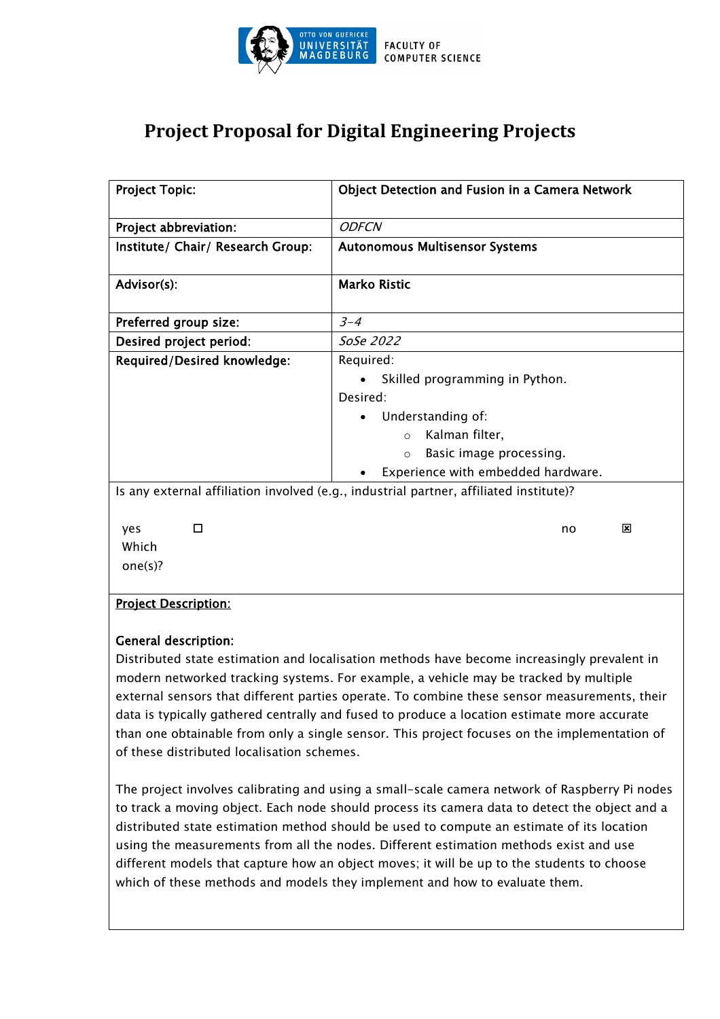

# **Project Proposal for Digital Engineering Projects**

| <b>Project Topic:</b>              | Object Detection and Fusion in a Camera Network                                                                                                                                         |
|------------------------------------|-----------------------------------------------------------------------------------------------------------------------------------------------------------------------------------------|
| Project abbreviation:              | <b>ODFCN</b>                                                                                                                                                                            |
| Institute/ Chair/ Research Group:  | <b>Autonomous Multisensor Systems</b>                                                                                                                                                   |
| Advisor(s):                        | <b>Marko Ristic</b>                                                                                                                                                                     |
| Preferred group size:              | $3 - 4$                                                                                                                                                                                 |
| Desired project period:            | SoSe 2022                                                                                                                                                                               |
| <b>Required/Desired knowledge:</b> | Required:<br>Skilled programming in Python.<br>Desired:<br>Understanding of:<br>Kalman filter,<br>$\Omega$<br>Basic image processing.<br>$\Omega$<br>Experience with embedded hardware. |
| п<br>yes<br>Which<br>one(s)?       | Is any external affiliation involved (e.g., industrial partner, affiliated institute)?<br>×<br>no                                                                                       |
| <b>Project Description:</b>        |                                                                                                                                                                                         |

## General description:

Distributed state estimation and localisation methods have become increasingly prevalent in modern networked tracking systems. For example, a vehicle may be tracked by multiple external sensors that different parties operate. To combine these sensor measurements, their data is typically gathered centrally and fused to produce a location estimate more accurate than one obtainable from only a single sensor. This project focuses on the implementation of of these distributed localisation schemes.

The project involves calibrating and using a small-scale camera network of Raspberry Pi nodes to track a moving object. Each node should process its camera data to detect the object and a distributed state estimation method should be used to compute an estimate of its location using the measurements from all the nodes. Different estimation methods exist and use different models that capture how an object moves; it will be up to the students to choose which of these methods and models they implement and how to evaluate them.